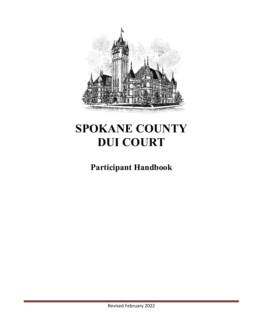

# **SPOKANE COUNTY DUI COURT**

## **Participant Handbook**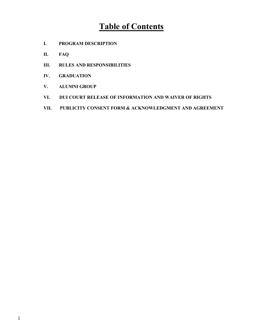## **Table of Contents**

- **I. PROGRAM DESCRIPTION**
- **II. FAQ**
- **III. RULES AND RESPONSIBILITIES**
- **IV. GRADUATION**
- **V. ALUMNI GROUP**
- **VI. DUI COURT RELEASE OF INFORMATION AND WAIVER OF RIGHTS**
- **VII. PUBLICITY CONSENT FORM & ACKNOWLEDGMENT AND AGREEMENT**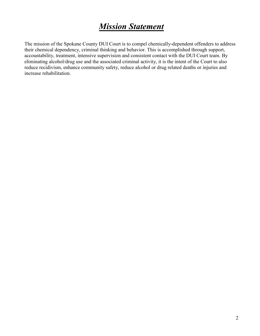## *Mission Statement*

The mission of the Spokane County DUI Court is to compel chemically-dependent offenders to address their chemical dependency, criminal thinking and behavior. This is accomplished through support, accountability, treatment, intensive supervision and consistent contact with the DUI Court team. By eliminating alcohol/drug use and the associated criminal activity, it is the intent of the Court to also reduce recidivism, enhance community safety, reduce alcohol or drug related deaths or injuries and increase rehabilitation.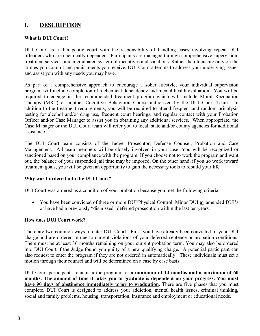### **I. DESCRIPTION**

#### **What is DUI Court?**

DUI Court is a therapeutic court with the responsibility of handling cases involving repeat DUI offenders who are chemically dependent. Participants are managed through comprehensive supervision, treatment services, and a graduated system of incentives and sanctions. Rather than focusing only on the crimes you commit and punishments you receive, DUI Court attempts to address your underlying issues and assist you with any needs you may have.

As part of a comprehensive approach to encourage a sober lifestyle, your individual supervision program will include completion of a chemical dependency and mental health evaluation. You will be required to engage in the recommended treatment program which will include Moral Reconation Therapy (MRT) or another Cognitive Behavioral Course authorized by the DUI Court Team. In addition to the treatment requirements, you will be required to attend frequent and random urinalysis testing for alcohol and/or drug use, frequent court hearings, and regular contact with your Probation Officer and/or Case Manager to assist you in obtaining any additional services. When appropriate, the Case Manager or the DUI Court team will refer you to local, state and/or county agencies for additional assistance.

The DUI Court team consists of the Judge, Prosecutor, Defense Counsel, Probation and Case Management. All team members will be closely involved in your case. You will be recognized or sanctioned based on your compliance with the program. If you choose not to work the program and want out, the balance of your suspended jail time may be imposed. On the other hand, if you *do* work toward treatment goals, you will be given an opportunity to gain the necessary tools to rebuild your life.

#### **Why was I ordered into the DUI Court?**

DUI Court was ordered as a condition of your probation because you met the following criteria:

• You have been convicted of three or more DUI/Physical Control, Minor DUI **or** amended DUI's or have had a previously "dismissed" deferred prosecution within the last ten years.

#### **How does DUI Court work?**

There are two common ways to enter DUI Court. First, you have already been convicted of your DUI charge and are ordered in due to current violations of your deferred sentence or probation conditions. There must be at least 36 months remaining on your current probation term. You may also be ordered into DUI Court if the Judge found you guilty of a new qualifying charge. A potential participant can also request to enter the program if they are not ordered in automatically. These individuals must set a motion through their counsel and will be determined on a case by case basis.

DUI Court participants remain in the program for a **minimum of 14 months and a maximum of 60 months. The amount of time it takes you to graduate is dependent on your progress. You must have 90 days of abstinence immediately prior to graduation.** There are five phases that you must complete. DUI Court is designed to address your addiction, mental health issues, criminal thinking, social and family problems, housing, transportation, insurance and employment or educational needs.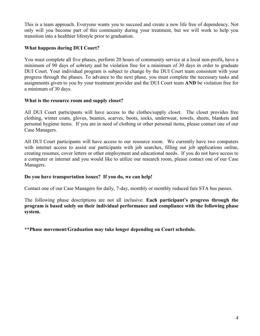This is a team approach. Everyone wants you to succeed and create a new life free of dependency. Not only will you become part of this community during your treatment, but we will work to help you transition into a healthier lifestyle prior to graduation.

#### **What happens during DUI Court?**

You must complete all five phases, perform 20 hours of community service at a local non-profit**,** have a minimum of 90 days of sobriety and be violation free for a minimum of 30 days in order to graduate DUI Court. Your individual program is subject to change by the DUI Court team consistent with your progress through the phases. To advance to the next phase, you must complete the necessary tasks and assignments given to you by your treatment provider and the DUI Court team **AND** be violation free for a minimum of 30 days.

#### **What is the resource room and supply closet?**

All DUI Court participants will have access to the clothes/supply closet. The closet provides free clothing, winter coats, gloves, beanies, scarves, boots, socks, underwear, towels, sheets, blankets and personal hygiene items. If you are in need of clothing or other personal items, please contact one of our Case Managers.

All DUI Court participants will have access to our resource room. We currently have two computers with internet access to assist our participants with job searches, filling out job applications online, creating resumes, cover letters or other employment and educational needs. If you do not have access to a computer or internet and you would like to utilize our research room, please contact one of our Case Managers.

#### **Do you have transportation issues? If you do, we can help!**

Contact one of our Case Managers for daily, 7-day, monthly or monthly reduced fare STA bus passes.

The following phase descriptions are not all inclusive. **Each participant's progress through the program is based solely on their individual performance and compliance with the following phase system.**

**\*\*Phase movement/Graduation may take longer depending on Court schedule.**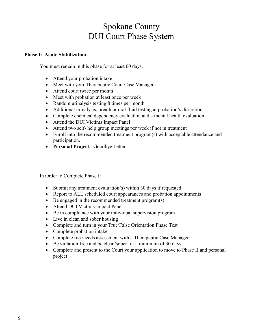## Spokane County DUI Court Phase System

#### **Phase I: Acute Stabilization**

You must remain in this phase for at least 60 days.

- Attend your probation intake
- Meet with your Therapeutic Court Case Manager
- Attend court twice per month
- Meet with probation at least once per week
- Random urinalysis testing 8 times per month
- Additional urinalysis, breath or oral fluid testing at probation's discretion
- Complete chemical dependency evaluation and a mental health evaluation
- Attend the DUI Victims Impact Panel
- Attend two self- help group meetings per week if not in treatment
- Enroll into the recommended treatment program(s) with acceptable attendance and participation.
- **Personal Project:** Goodbye Letter

#### In Order to Complete Phase I:

- Submit any treatment evaluation(s) within 30 days if requested
- Report to ALL scheduled court appearances and probation appointments
- Be engaged in the recommended treatment program(s)
- Attend DUI Victims Impact Panel
- Be in compliance with your individual supervision program
- Live in clean and sober housing
- Complete and turn in your True/False Orientation Phase Test
- Complete probation intake
- Complete risk/needs assessment with a Therapeutic Case Manager
- Be violation-free and be clean/sober for a minimum of 30 days
- Complete and present to the Court your application to move to Phase II and personal project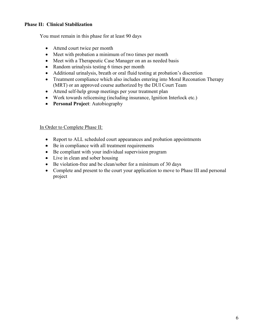#### **Phase II: Clinical Stabilization**

You must remain in this phase for at least 90 days

- Attend court twice per month
- Meet with probation a minimum of two times per month
- Meet with a Therapeutic Case Manager on an as needed basis
- Random urinalysis testing 6 times per month
- Additional urinalysis, breath or oral fluid testing at probation's discretion
- Treatment compliance which also includes entering into Moral Reconation Therapy (MRT) or an approved course authorized by the DUI Court Team
- Attend self-help group meetings per your treatment plan
- Work towards relicensing (including insurance, Ignition Interlock etc.)
- **Personal Project**: Autobiography

#### In Order to Complete Phase II:

- Report to ALL scheduled court appearances and probation appointments
- Be in compliance with all treatment requirements
- Be compliant with your individual supervision program
- Live in clean and sober housing
- Be violation-free and be clean/sober for a minimum of 30 days
- Complete and present to the court your application to move to Phase III and personal project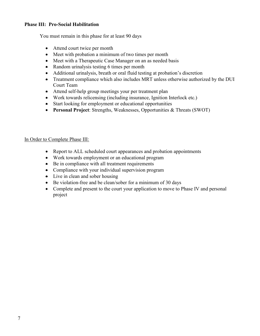#### **Phase III: Pro-Social Habilitation**

You must remain in this phase for at least 90 days

- Attend court twice per month
- Meet with probation a minimum of two times per month
- Meet with a Therapeutic Case Manager on an as needed basis
- Random urinalysis testing 6 times per month
- Additional urinalysis, breath or oral fluid testing at probation's discretion
- Treatment compliance which also includes MRT unless otherwise authorized by the DUI Court Team
- Attend self-help group meetings your per treatment plan
- Work towards relicensing (including insurance, Ignition Interlock etc.)
- Start looking for employment or educational opportunities
- **Personal Project**: Strengths, Weaknesses, Opportunities & Threats (SWOT)

#### In Order to Complete Phase III:

- Report to ALL scheduled court appearances and probation appointments
- Work towards employment or an educational program
- Be in compliance with all treatment requirements
- Compliance with your individual supervision program
- Live in clean and sober housing
- Be violation-free and be clean/sober for a minimum of 30 days
- Complete and present to the court your application to move to Phase IV and personal project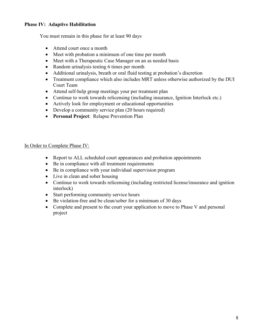#### **Phase IV: Adaptive Habilitation**

You must remain in this phase for at least 90 days

- Attend court once a month
- Meet with probation a minimum of one time per month
- Meet with a Therapeutic Case Manager on an as needed basis
- Random urinalysis testing 6 times per month
- Additional urinalysis, breath or oral fluid testing at probation's discretion
- Treatment compliance which also includes MRT unless otherwise authorized by the DUI Court Team
- Attend self-help group meetings your per treatment plan
- Continue to work towards relicensing (including insurance, Ignition Interlock etc.)
- Actively look for employment or educational opportunities
- Develop a community service plan (20 hours required)
- **Personal Project**: Relapse Prevention Plan

#### In Order to Complete Phase IV:

- Report to ALL scheduled court appearances and probation appointments
- Be in compliance with all treatment requirements
- Be in compliance with your individual supervision program
- Live in clean and sober housing
- Continue to work towards relicensing (including restricted license/insurance and ignition interlock)
- Start performing community service hours
- Be violation-free and be clean/sober for a minimum of 30 days
- Complete and present to the court your application to move to Phase V and personal project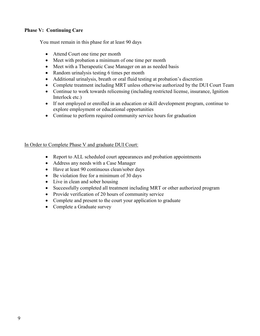#### **Phase V: Continuing Care**

You must remain in this phase for at least 90 days

- Attend Court one time per month
- Meet with probation a minimum of one time per month
- Meet with a Therapeutic Case Manager on an as needed basis
- Random urinalysis testing 6 times per month
- Additional urinalysis, breath or oral fluid testing at probation's discretion
- Complete treatment including MRT unless otherwise authorized by the DUI Court Team
- Continue to work towards relicensing (including restricted license, insurance, Ignition Interlock etc.)
- If not employed or enrolled in an education or skill development program, continue to explore employment or educational opportunities
- Continue to perform required community service hours for graduation

#### In Order to Complete Phase V and graduate DUI Court:

- Report to ALL scheduled court appearances and probation appointments
- Address any needs with a Case Manager
- Have at least 90 continuous clean/sober days
- Be violation free for a minimum of 30 days
- Live in clean and sober housing
- Successfully completed all treatment including MRT or other authorized program
- Provide verification of 20 hours of community service
- Complete and present to the court your application to graduate
- Complete a Graduate survey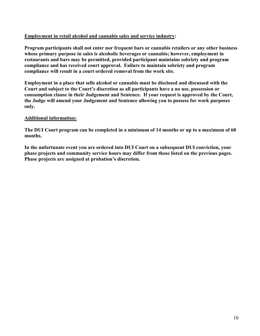#### **Employment in retail alcohol and cannabis sales and service industry:**

**Program participants shall not enter nor frequent bars or cannabis retailers or any other business whose primary purpose in sales is alcoholic beverages or cannabis; however, employment in restaurants and bars may be permitted, provided participant maintains sobriety and program compliance and has received court approval. Failure to maintain sobriety and program compliance will result in a court ordered removal from the work site.**

**Employment in a place that sells alcohol or cannabis must be disclosed and discussed with the Court and subject to the Court's discretion as all participants have a no use, possession or consumption clause in their Judgement and Sentence. If your request is approved by the Court, the Judge will amend your Judgement and Sentence allowing you to possess for work purposes only.**

#### **Additional information:**

**The DUI Court program can be completed in a minimum of 14 months or up to a maximum of 60 months.**

**In the unfortunate event you are ordered into DUI Court on a subsequent DUI conviction, your phase projects and community service hours may differ from those listed on the previous pages. Phase projects are assigned at probation's discretion.**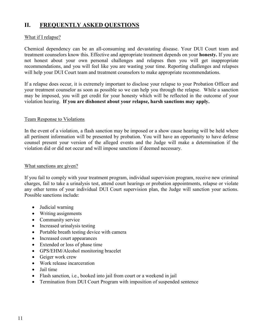## **II. FREQUENTLY ASKED QUESTIONS**

#### What if I relapse?

Chemical dependency can be an all-consuming and devastating disease. Your DUI Court team and treatment counselors know this. Effective and appropriate treatment depends on your **honesty.** If you are not honest about your own personal challenges and relapses then you will get inappropriate recommendations, and you will feel like you are wasting your time. Reporting challenges and relapses will help your DUI Court team and treatment counselors to make appropriate recommendations.

If a relapse does occur, it is extremely important to disclose your relapse to your Probation Officer and your treatment counselor as soon as possible so we can help you through the relapse. While a sanction may be imposed, you will get credit for your honesty which will be reflected in the outcome of your violation hearing. **If you are dishonest about your relapse, harsh sanctions may apply.** 

#### Team Response to Violations

In the event of a violation, a flash sanction may be imposed or a show cause hearing will be held where all pertinent information will be presented by probation. You will have an opportunity to have defense counsel present your version of the alleged events and the Judge will make a determination if the violation did or did not occur and will impose sanctions if deemed necessary.

#### What sanctions are given?

If you fail to comply with your treatment program, individual supervision program, receive new criminal charges, fail to take a urinalysis test, attend court hearings or probation appointments, relapse or violate any other terms of your individual DUI Court supervision plan, the Judge will sanction your actions. Possible sanctions include:

- Judicial warning
- Writing assignments
- Community service
- Increased urinalysis testing
- Portable breath testing device with camera
- Increased court appearances
- Extended or loss of phase time
- GPS/EHM/Alcohol monitoring bracelet
- Geiger work crew
- Work release incarceration
- Jail time
- Flash sanction, i.e., booked into jail from court or a weekend in jail
- Termination from DUI Court Program with imposition of suspended sentence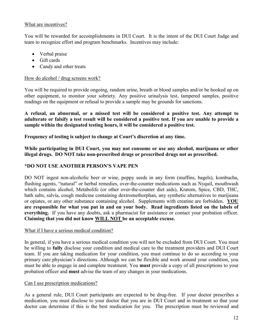#### What are incentives?

You will be rewarded for accomplishments in DUI Court. It is the intent of the DUI Court Judge and team to recognize effort and program benchmarks. Incentives may include:

- Verbal praise
- Gift cards
- Candy and other treats

#### How do alcohol / drug screens work?

You will be required to provide ongoing, random urine, breath or blood samples and/or be hooked up on other equipment, to monitor your sobriety. Any positive urinalysis test, tampered samples, positive readings on the equipment or refusal to provide a sample may be grounds for sanctions.

**A refusal, an abnormal, or a missed test will be considered a positive test. Any attempt to adulterate or falsify a test result will be considered a positive test. If you are unable to provide a sample within the designated testing hours, it will be considered a positive test.**

**Frequency of testing is subject to change at Court's discretion at any time.**

**While participating in DUI Court, you may not consume or use any alcohol, marijuana or other illegal drugs. DO NOT take non-prescribed drugs or prescribed drugs not as prescribed.**

#### **\*DO NOT USE ANOTHER PERSON'S VAPE PEN**

DO NOT ingest non-alcoholic beer or wine, poppy seeds in any form (muffins, bagels), kombucha, flushing agents, "natural" or herbal remedies, over-the-counter medications such as Nyquil, mouthwash which contains alcohol, Metabolife (or other over-the-counter diet aids), Kratom, Spice, CBD, THC, bath salts, salvia, cough medicine containing dextromethorphan, any synthetic alternatives to marijuana or opiates, or any other substance containing alcohol. Supplements with creatine are forbidden. **YOU are responsible for what you put in and on your body. Read ingredients listed on the labels of everything.** If you have any doubts, ask a pharmacist for assistance or contact your probation officer. **Claiming that you did not know WILL NOT be an acceptable excuse.** 

#### What if I have a serious medical condition?

In general, if you have a serious medical condition you will not be excluded from DUI Court. You must be willing to **fully** disclose your condition and medical care to the treatment providers and DUI Court team. If you are taking medication for your condition, you must continue to do so according to your primary care physician's directions. Although we can be flexible and work around your condition, you must be able to engage in and complete treatment. You **must** provide a copy of all prescriptions to your probation officer and **must** advise the team of any changes in your medications.

#### Can I use prescription medications?

As a general rule, DUI Court participants are expected to be drug-free. If your doctor prescribes a medication, you must disclose to your doctor that you are in DUI Court and in treatment so that your doctor can determine if this is the best medication for you. The prescription must be reviewed and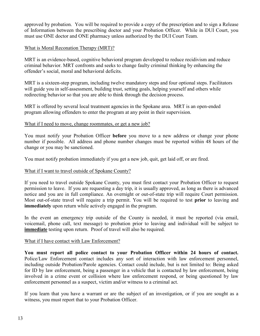approved by probation. You will be required to provide a copy of the prescription and to sign a Release of Information between the prescribing doctor and your Probation Officer. While in DUI Court, you must use ONE doctor and ONE pharmacy unless authorized by the DUI Court Team.

#### What is Moral Reconation Therapy (MRT)?

MRT is an evidence-based, cognitive behavioral program developed to reduce recidivism and reduce criminal behavior. MRT confronts and seeks to change faulty criminal thinking by enhancing the offender's social, moral and behavioral deficits.

MRT is a sixteen-step program, including twelve mandatory steps and four optional steps. Facilitators will guide you in self-assessment, building trust, setting goals, helping yourself and others while redirecting behavior so that you are able to think through the decision process.

MRT is offered by several local treatment agencies in the Spokane area. MRT is an open-ended program allowing offenders to enter the program at any point in their supervision.

#### What if I need to move, change roommates, or get a new job?

You must notify your Probation Officer **before** you move to a new address or change your phone number if possible. All address and phone number changes must be reported within 48 hours of the change or you may be sanctioned.

You must notify probation immediately if you get a new job, quit, get laid off, or are fired.

#### What if I want to travel outside of Spokane County?

If you need to travel outside Spokane County, you must first contact your Probation Officer to request permission to leave. If you are requesting a day trip, it is usually approved, as long as there is advanced notice and you are in full compliance. An overnight or out-of-state trip will require Court permission. Most out-of-state travel will require a trip permit. You will be required to test **prior** to leaving and **immediately** upon return while actively engaged in the program.

In the event an emergency trip outside of the County is needed, it must be reported (via email, voicemail, phone call, text message) to probation prior to leaving and individual will be subject to **immediate** testing upon return. Proof of travel will also be required.

#### What if I have contact with Law Enforcement?

**You must report all police contact to your Probation Officer within 24 hours of contact.** Police/Law Enforcement contact includes any sort of interaction with law enforcement personnel, including outside Probation/Parole agencies. Contact could include, but is not limited to: Being asked for ID by law enforcement, being a passenger in a vehicle that is contacted by law enforcement, being involved in a crime event or collision where law enforcement respond, or being questioned by law enforcement personnel as a suspect, victim and/or witness to a criminal act.

If you learn that you have a warrant or are the subject of an investigation, or if you are sought as a witness, you must report that to your Probation Officer.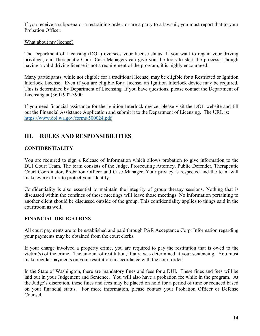If you receive a subpoena or a restraining order, or are a party to a lawsuit, you must report that to your Probation Officer.

#### What about my license?

The Department of Licensing (DOL) oversees your license status. If you want to regain your driving privilege, our Therapeutic Court Case Managers can give you the tools to start the process. Though having a valid driving license is not a requirement of the program, it is highly encouraged.

Many participants, while not eligible for a traditional license, may be eligible for a Restricted or Ignition Interlock License. Even if you are eligible for a license, an Ignition Interlock device may be required. This is determined by Department of Licensing. If you have questions, please contact the Department of Licensing at (360) 902-3900.

If you need financial assistance for the Ignition Interlock device, please visit the DOL website and fill out the Financial Assistance Application and submit it to the Department of Licensing. The URL is: <https://www.dol.wa.gov/forms/500024.pdf>

### **III. RULES AND RESPONSIBILITIES**

#### **CONFIDENTIALITY**

You are required to sign a Release of Information which allows probation to give information to the DUI Court Team. The team consists of the Judge, Prosecuting Attorney, Public Defender, Therapeutic Court Coordinator, Probation Officer and Case Manager. Your privacy is respected and the team will make every effort to protect your identity.

Confidentiality is also essential to maintain the integrity of group therapy sessions. Nothing that is discussed within the confines of those meetings will leave those meetings. No information pertaining to another client should be discussed outside of the group. This confidentiality applies to things said in the courtroom as well.

#### **FINANCIAL OBLIGATIONS**

All court payments are to be established and paid through PAR Acceptance Corp. Information regarding your payments may be obtained from the court clerks.

If your charge involved a property crime, you are required to pay the restitution that is owed to the victim(s) of the crime. The amount of restitution, if any, was determined at your sentencing. You must make regular payments on your restitution in accordance with the court order.

In the State of Washington, there are mandatory fines and fees for a DUI. These fines and fees will be laid out in your Judgement and Sentence. You will also have a probation fee while in the program. At the Judge's discretion, these fines and fees may be placed on hold for a period of time or reduced based on your financial status. For more information, please contact your Probation Officer or Defense Counsel.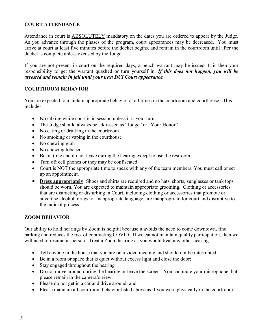#### **COURT ATTENDANCE**

Attendance in court is ABSOLUTELY mandatory on the dates you are ordered to appear by the Judge. As you advance through the phases of the program, court appearances may be decreased. You must arrive at court at least five minutes before the docket begins, and remain in the courtroom until after the docket is complete unless excused by the Judge.

If you are not present in court on the required days, a bench warrant may be issued. It is then your responsibility to get the warrant quashed or turn yourself in. *If this does not happen, you will be arrested and remain in jail until your next DUI Court appearance.*

#### **COURTROOM BEHAVIOR**

You are expected to maintain appropriate behavior at all times in the courtroom and courthouse. This includes:

- No talking while court is in session unless it is your turn
- The Judge should always be addressed as "Judge" or "Your Honor"
- No eating or drinking in the courtroom
- No smoking or vaping in the courthouse
- No chewing gum
- No chewing tobacco
- Be on time and do not leave during the hearing except to use the restroom
- Turn off cell phones or they may be confiscated
- Court is NOT the appropriate time to speak with any of the team members. You must call or set up an appointment.
- **Dress appropriately**! Shoes and shirts are required and no hats, shorts, sunglasses or tank tops should be worn. You are expected to maintain appropriate grooming. Clothing or accessories that are distracting or disturbing in Court, including clothing or accessories that promote or advertise alcohol, drugs, or inappropriate language, are inappropriate for court and disruptive to the judicial process.

#### **ZOOM BEHAVIOR**

Our ability to hold hearings by Zoom is helpful because it avoids the need to come downtown, find parking and reduces the risk of contracting COVID. If we cannot maintain quality participation, then we will need to resume in-person. Treat a Zoom hearing as you would treat any other hearing:

- Tell anyone in the house that you are on a video meeting and should not be interrupted;
- Be in a room or space that is quiet without excess light and close the door;
- Stay engaged throughout the hearing
- Do not move around during the hearing or leave the screen. You can mute your microphone, but please remain in the camera's view;
- Please do not get in a car and drive around; and
- Please maintain all courtroom behavior listed above as if you were physically in the courtroom.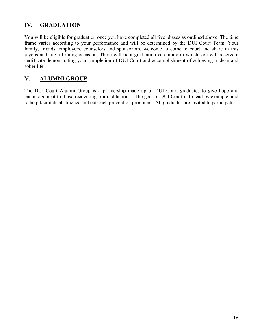## **IV. GRADUATION**

You will be eligible for graduation once you have completed all five phases as outlined above. The time frame varies according to your performance and will be determined by the DUI Court Team. Your family, friends, employers, counselors and sponsor are welcome to come to court and share in this joyous and life-affirming occasion. There will be a graduation ceremony in which you will receive a certificate demonstrating your completion of DUI Court and accomplishment of achieving a clean and sober life.

## **V. ALUMNI GROUP**

The DUI Court Alumni Group is a partnership made up of DUI Court graduates to give hope and encouragement to those recovering from addictions. The goal of DUI Court is to lead by example, and to help facilitate abstinence and outreach prevention programs. All graduates are invited to participate.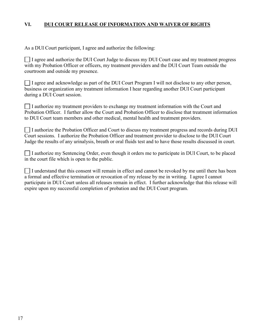#### **VI. DUI COURT RELEASE OF INFORMATION AND WAIVER OF RIGHTS**

As a DUI Court participant, I agree and authorize the following:

I agree and authorize the DUI Court Judge to discuss my DUI Court case and my treatment progress with my Probation Officer or officers, my treatment providers and the DUI Court Team outside the courtroom and outside my presence.

 $\Box$  I agree and acknowledge as part of the DUI Court Program I will not disclose to any other person, business or organization any treatment information I hear regarding another DUI Court participant during a DUI Court session.

I authorize my treatment providers to exchange my treatment information with the Court and Probation Officer. I further allow the Court and Probation Officer to disclose that treatment information to DUI Court team members and other medical, mental health and treatment providers.

I I authorize the Probation Officer and Court to discuss my treatment progress and records during DUI Court sessions. I authorize the Probation Officer and treatment provider to disclose to the DUI Court Judge the results of any urinalysis, breath or oral fluids test and to have those results discussed in court.

I authorize my Sentencing Order, even though it orders me to participate in DUI Court, to be placed in the court file which is open to the public.

I understand that this consent will remain in effect and cannot be revoked by me until there has been a formal and effective termination or revocation of my release by me in writing. I agree I cannot participate in DUI Court unless all releases remain in effect. I further acknowledge that this release will expire upon my successful completion of probation and the DUI Court program.